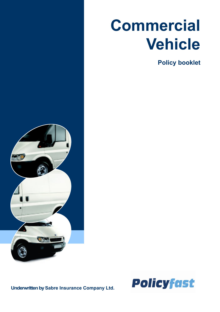# **Commercial Vehicle**

**Policy booklet**



**Underwritten by Sabre Insurance Company Ltd.**

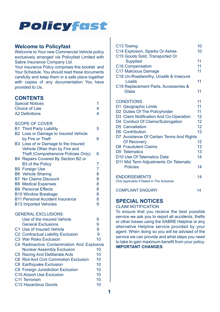

#### **Welcome to Policyfast**

Welcome to Your new Commercial Vehicle policy exclusively arranged via Policyfast Limited with Sabre Insurance Company Ltd.

Your insurance Policy comprises this booklet and Your Schedule. You should read these documents carefully and keep them in a safe place together with copies of any documentation You have provided to Us.

#### **CONTENTS**

| <b>Special Notices</b>                 |                                            | 1                       |
|----------------------------------------|--------------------------------------------|-------------------------|
| Choice of Law                          |                                            | 4                       |
| <b>A2 Definitions</b>                  |                                            | $\overline{\mathbf{4}}$ |
|                                        |                                            |                         |
|                                        | <b>SCOPE OF COVER</b>                      |                         |
|                                        | <b>B1 Third Party Liability</b>            | 5                       |
|                                        | B2 Loss or Damage to Insured Vehicle       |                         |
|                                        | by Fire or Theft                           | 6                       |
|                                        | B3 Loss of or Damage to the Insured        |                         |
|                                        | Vehicle Other than by Fire and             |                         |
|                                        | Theft (Comprehensive Policies Only)        | 6                       |
|                                        | B4 Repairs Covered By Section B2 or        |                         |
|                                        | <b>B3 of the Policy</b>                    | 7                       |
|                                        | <b>B5 Foreign Use</b>                      | 7                       |
|                                        | <b>B6</b> Vehicle Sharing                  | 8                       |
|                                        | <b>B7</b> No Claims Discount               | 8                       |
|                                        | <b>B8</b> Medical Expenses                 | 8                       |
|                                        | <b>B9</b> Personal Effects                 | 8                       |
| <b>B10 Window Breakage</b>             |                                            | 8                       |
| <b>B11 Personal Accident Insurance</b> |                                            | 8                       |
|                                        | <b>B13 Imported Vehicles</b>               | 9                       |
|                                        | <b>GENERAL EXCLUSIONS</b>                  |                         |
|                                        | Use of the Insured Vehicle                 | 9                       |
|                                        | <b>General Exclusions</b>                  | 9                       |
|                                        | C1 Use of Insured Vehicle                  | 9                       |
|                                        | C2 Contractual Liability Exclusion         | 9                       |
|                                        | C3 War Risks Exclusion                     | 10                      |
|                                        | C4 Radioactive Contamination And Explosive |                         |
|                                        | <b>Nuclear Assembly Exclusion</b>          | 10                      |
|                                        | C5 Racing And Deliberate Acts              | 10                      |
|                                        | C6 Riot And Civil Commotion Exclusion      | 10                      |
|                                        | C8 Earthquake Exclusion                    | 10                      |
|                                        | C9 Foreign Jurisdiction Exclusion          | 10                      |
| C10 Airport Use Exclusion              |                                            | 10                      |
| C11 Terrorism                          |                                            | 10                      |
| C12 Hazardous Goods                    |                                            | 10                      |

| C <sub>13</sub> Towing                    | 10 |
|-------------------------------------------|----|
| C14 Explosion, Sparks Or Ashes            | 10 |
| C15 Goods Sold, Transported Or            |    |
| <b>Supplied</b>                           | 11 |
| C16 Compensation                          | 11 |
| C17 Malicious Damage                      | 11 |
| C18 Un-Roadworthy, Unsafe & Insecure      |    |
| Loads                                     | 11 |
| C19 Replacement Parts, Accessories &      |    |
| Glass                                     | 11 |
| <b>CONDITIONS</b>                         | 11 |
| D1 Geographic Limits                      | 11 |
| D2 Duties Of The Policyholder             | 11 |
| D3 Claim Notification And Co-Operation    | 12 |
| D4 Conduct Of Claims/Subrogation          | 12 |
| D5 Cancellation                           | 12 |
| D6 Contribution                           | 12 |
| D7 Avoidance Of Certain Terms And Rights  |    |
| Of Recovery                               | 12 |
| D8 Fraudulent Claims                      | 13 |
| D9 Telematics                             | 13 |
| D10 Use Of Telematics Data                | 14 |
| D11 Mid Term Adjustments On Telematic     |    |
| <b>Policies</b>                           | 14 |
| <b>ENDORSEMENTS</b>                       | 14 |
| Only Applicable If Stated In The Schedule |    |
| <b>COMPLAINT ENQUIRY</b>                  | 14 |

#### **SPECIAL NOTICES**

CLAIM NOTIFICATION

To ensure that you receive the best possible service we ask you to report all accidents, thefts or other losses using the SABRE Helpline or any alternative Helpline service provided by your agent. When doing so you will be advised of the service we can provide and what steps you need to take to gain maximum benefit from your policy. **IMPORTANT CHANGES**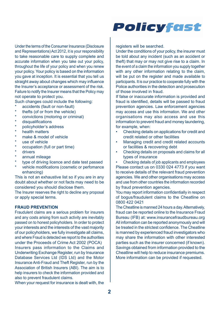

Under the terms of the Consumer Insurance (Disclosure and Representations) Act 2012, it is your responsibility to take reasonable care to supply complete and accurate information when you take out your policy, throughout the life of your policy and when you renew your policy. Your policy is based on the information you gave at inception. It is essential that you tell us straight away about changes which may influence the Insurer's acceptance or assessment of the risk. Failure to notify the Insurer means that the Policy may not operate to protect you.

Such changes could include the following:

- accidents (fault or non-fault)
- thefts (of or from the vehicle)
- convictions (motoring or criminal)
- disqualifications
- policyholder's address
- health matters
- make & model of vehicle
- use of vehicle
- occupation (full or part time)
- drivers
- annual mileage
- type of driving licence and date test passed
- vehicle modifications (cosmetic or perfomance enhancing)

This is not an exhaustive list so if you are in any doubt about whether or not facts may need to be considered you should disclose them.

The Insurer reserves the right to decline any proposal or apply special terms.

#### **FRAUD PREVENTION**

Fraudulent claims are a serious problem for insurers and any costs arising from such activity are inevitably passed on to honest policyholders. In order to protect your interests and the interests of the vast majority of our policyholders, we fully investigate all claims, and where Fraud is detected we report to the authorities under the Proceeds of Crime Act 2002 (POCA) Insurers pass information to the Claims and Underwriting Exchange Register, run by Insurance Database Services Ltd (IDS Ltd) and the Motor Insurance Anti-Fraud and Theft Register, run by the Association of British Insurers (ABI). The aim is to help insurers to check the information provided and also to prevent fraudulent claims.

When your request for insurance is dealt with, the

registers will be searched.

Under the conditions of your policy, the insurer must be told about any incident (such as an accident or theft) that may or may not give rise to a claim. In the event of a claim the information you supply together with any other information relating to the claim. will be put on the register and made available to participants. It is our practice to cooperate fully with the Police authorities in the detection and prosecution of those involved in fraud.

If false or inaccurate information is provided and fraud is identified, details will be passed to fraud prevention agencies. Law enforcement agencies may access and use this information. We and other organisations may also access and use this information to prevent fraud and money laundering, for example, when:

- Checking details on applications for credit and credit related or other facilities
- Managing credit and credit related accounts or facilities & recovering debt
- Checking details on proposals and claims for all types of insurance

• Checking details of job applicants and employees Please contact us on 0330 024 4773 if you want to receive details of the relevant fraud prevention agencies. We and other organisations may access and use from other countries the information recorded by fraud prevention agencies.

You may report information confidentially in respect of bogus/fraudulent claims to the Cheatline on 0800 422 0421

The Cheatline is manned 24 hours a day. Alternatively, fraud can be reported online to the Insurance Fraud Bureau (IFB) at: www.insurancefraudbureau.org All information can be reported anonymously and will be treated in the strictest confidence. The Cheatline is manned by experienced fraud investigators who may share the information with other interested parties such as the insurer concerned (if known). Savings obtained from information provided to the Cheatline will help to reduce insurance premiums. More information can be provided if requested.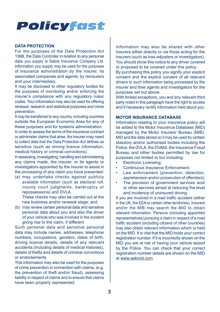#### **DATA PROTECTION**

For the purposes of the Data Protection Act 1998, the Data Controller in relation to any personal data you supply is Sabre Insurance Company Ltd. Information you supply may be used for the purposes of insurance administration by the insurer, its associated companies and agents, by reinsurers and your intermediary.

It may be disclosed to other regulatory bodies for the purposes of monitoring and/or enforcing the insurer's compliance with any regulatory rules/ codes. Your information may also be used for offering renewal, research and statistical purposes and crime prevention.

It may be transferred to any country, including countries outside the European Economic Area for any of these purposes and for systems administration.

In order to assess the terms of the insurance contract or administer claims that arise, the insurer may need to collect data that the Data Protection Act defines as sensitive (such as driving licence information, medical history or criminal convictions).

In assessing, investigating, handling and administering any claims made, the insurer, or its agents or investigators appointed by the insurer to assist in the processing of any claim you have presented:

(a) may undertake checks against publicly available information (such as electoral roll, county court judgments, bankruptcy or repossessions) and DVLA. These checks may also be carried out at the

new business and/or renewal stage; and

(b) may review certain personal data and sensitive personal data about you and also the driver of your vehicle who was involved in the incident giving rise to the claim, if different.

Such personal data and sensitive personal data may include names, addresses, telephone numbers, occupations, genders, dates of birth, driving licence details, details of any relevant accidents (including details of medical histories), details of thefts and details of criminal convictions or endorsements.

This information may also be used for the purposes of crime prevention in connection with claims, (e.g. the prevention of theft and/or fraud), assessing liability in respect of claims and to ensure that claims have been properly represented.

Information may also be shared with other insurers either directly or via those acting for the insurers (such as loss adiusters or investigators). You should show this notice to any driver covered or proposed to be covered under this policy.

By purchasing this policy you signify your explicit consent and the explicit consent of all relevant drivers to such information being processed by the insurer and their agents and investigators for the purposes set out above.

With limited exceptions, you and any relevant third party noted in this paragraph have the right to access and if necessary rectify information held about you.

#### **MOTOR INSURANCE DATABASE**

Information relating to your insurance policy will be added to the Motor Insurance Database (MID) managed by the Motor Insurers' Bureau (MIB). MID and the data stored on it may be used by certain statutory and/or authorised bodies including the Police, the DVLA, the DVANI, the Insurance Fraud Bureau and other bodies permitted by law for purposes not limited to but including:

- Electronic Licensing;
- Continuous Insurance Enforcement:
- Law enforcement (prevention, detection, apprehension and/or prosecution of offenders);
- The provision of government services and/ or other services aimed at reducing the level and incidence of uninsured driving.

If you are involved in a road traffic accident (either in the UK, the EEA or certain other territories), Insurers and/or the MIB may search the MID to obtain relevant information. Persons (including appointed representatives) pursuing a claim in respect of a road traffic accident (including citizens of other countries) may also obtain relevant information which is held on the MID. It is vital that the MID holds your correct registration number. If it is incorrectly shown on the MID you are at risk of having your vehicle seized by the Police. You can check that your correct registration number details are shown on the MID at [www.askmid.com](http://www.askmid.com)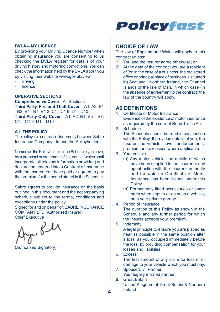

#### **DVLA – MY LICENCE**

By providing your Driving Licence Number when obtaining insurance you are consenting to us checking the DVLA register for details of your driving history and motoring convictions. You can check the information held by the DVLA about you by visiting their website www.gov.uk/view

- driving
- **licence**

#### **OPERATIVE SECTIONS:**

**Comprehensive Cover** - All Sections **Third Party, Fire and Theft Cover** - A1, A2, B1 –B2, B4 –B7, B1 3, C1 –C1 9, D1 –D10 **Third Party Only Cover** – A1, A2, B1, B5 – B7,  $C1 - C19$ ,  $D1 - D10$ 

#### **A1 THE POLICY**

The policy is a contract of indemnity between Sabre Insurance Company Ltd and the Policyholder.

Named as the Policyholder in the Schedule you have, by a proposal or statement of insurance (which shall incorporate all relevant information provided) and declaration, entered into a Contract of Insurance with the Insurer. You have paid or agreed to pay the premium for the period stated in the Schedule.

Sabre agrees to provide insurance on the basis outlined in this document and the accompanying schedule subject to the terms, conditions and exceptions under the policy.

Signed for and on behalf of: SABRE INSURANCE COMPANY LTD (Authorised Insurer)

 $r_{\mu}$ , Ber

(Authorised Signatory)

#### **CHOICE OF LAW**

The law of England and Wales will apply to this contract unless:

- 1) You and the Insurer agree otherwise; or
- 2) At the date of the contract you are a resident of (or, in the case of a business, the registered office or principal place of business is situated in) Scotland, Northern Ireland, the Channel Islands or the Isle of Man, in which case (in the absence of agreement to the contract) the law of the country will apply.

#### **A2 DEFINITIONS**

- 1. Certificate of Motor Insurance Evidence of the existence of motor insurance as required by the current Road Traffic Act.
- 2. Schedule

The Schedule should be read in conjunction with the Policy. It provides details of you, the Insurer, the vehicle, cover, endorsements, premium and excesses where applicable.

- 3. Your vehicle
	- (a) Any motor vehicle, the details of which have been supplied to the Insurer or any agent acting with the Insurer's authority and for which a Certificate of Motor Insurance has been issued under this Policy.
	- (b) Permanently fitted accessories or spare parts when kept in or on such a vehicle, or in your private garage.
- 4. Period of Insurance

The duration of this Policy as shown in the Schedule and any further period for which the Insurer accepts your premium.

5. Indemnity

A legal principle to ensure you are placed as near as possible in the same position after a loss, as you occupied immediately before the loss, by providing compensation for your losses and liabilities.

6. Excess

The first amount of any claim for loss of or damage to your vehicle which you must pay.

- 7. Spouse/Civil Partner Your legally married partner.
- 8. Great Britain United Kingdom of Great Britain & Northern Ireland.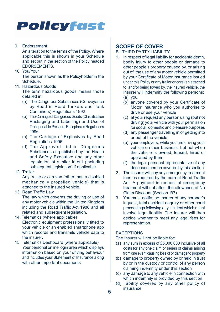#### 9. Endorsement

An alteration to the terms of the Policy. Where applicable this is shown in your Schedule and set out in the section of the Policy headed **EDORSEMENTS** 

10. You/Your

The person shown as the Policyholder in the Schedule.

#### 11. Hazardous Goods

The term hazardous goods means those detailed in:

- (a) The Dangerous Substances (Conveyance by Road in Road Tankers and Tank Containers) Regulations 1992
- (b) The Carriage of Dangerous Goods (Classification Packaging and Labelling) and Use of Transportable Pressure Receptacles Regulations 1996
- (c) The Carriage of Explosives by Road Regulations 1996
- (d) The Approved List of Dangerous Substances as published by the Health and Safety Executive and any other legislation of similar intent (including subsequent legislation) if applicable

#### 12. Trailer

Any trailer or caravan (other than a disabled mechanically propelled vehicle) that is attached to the insured vehicle.

#### 13. Road Traffic Law

The law which governs the driving or use of any motor vehicle within the United Kingdom including the Road Traffic Act 1988 and all related and subsequent legislation.

- 14. Telematics (where applicable) Electronic equipment professionally fitted to your vehicle or an enabled smartphone app which records and transmits vehicle data to the insurer.
- 15. Telematics Dashboard (where applicable) Your personal online login area which displays information based on your driving behaviour and includes your Statement of Insurance along with other important documents

#### **SCOPE OF COVER**

### B1 THIRD PARTY LIABILITY<br>1 In respect of legal liability f

- In respect of legal liability for accidental death. bodily injury to other people or damage to other people's property caused by, or arising out of, the use of any motor vehicle permitted by your Certificate of Motor Insurance issued under this Policy or any trailer or caravan attached to, and/or being towed by, the insured vehicle, the Insurer will indemnify the following persons: (a) you
	- (b) anyone covered by your Certificate of Motor Insurance who you authorise to drive or use your vehicle
	- (c) at your request any person using (but not driving) your vehicle with your permission for social, domestic and pleasure purposes
	- (d) any passenger travelling in or getting into or out of the vehicle
	- (e) your employers, while you are driving your vehicle on their business, but not when the vehicle is owned, leased, hired or operated by them
	- (f) the legal personal representative of any deceased person covered by this section.
- 2. The Insurer will pay any emergency treatment fees as required by the current Road Traffic Act. A payment in respect of emergency treatment will not affect the allowance of No Claim Discount (Section B7).
- 3. You must notify the Insurer of any coroner's inquest, fatal accident enquiry or other court proceedings following any incident which might involve legal liability. The Insurer will then decide whether to meet any legal fees for representation.

#### **EXCEPTIONS**

The Insurer will not be liable for:

- (a) any sum in excess of £5,000,000 inclusive of all costs for any one claim or series of claims arising from one event causing loss of or damage to property
- (b) damage to property owned by or held in trust by or in the custody or control of any person claiming indemnity under this section
- (c) any damage to any vehicle in connection with which indemnity is provided by this section
- (d) liability covered by any other policy of insurance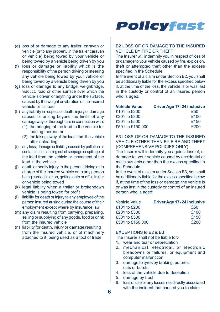- (e) loss of or damage to any trailer, caravan or vehicle (or to any property in the trailer caravan or vehicle) being towed by your vehicle or being towed by a vehicle being driven by you
- (f) loss or damage or liability which is the responsibility of the person driving or steering any vehicle being towed by your vehicle or being towed by a vehicle being driven by you
- (g) loss or damage to any bridge, weighbridge, viaduct, road or other surface over which the vehicle is driven or anything under the surface, caused by the weight or vibration of the insured vehicle or its load
- (h) any liability in respect of death, injury or damage caused or arising beyond the limits of any carriageway or thoroughfare in connection with:
	- (1) the bringing of the load to the vehicle for loading thereon or
	- (2) the taking away of the load from the vehicle after unloading
- (i) any loss, damage or liability caused by pollution or contamination arising out of seepage or spillage of the load from the vehicle or movement of the load in the vehicle
- (j) death or bodily injury to the person driving or in charge of the insured vehicle or to any person being carried in or on, getting onto or off, a trailer or vehicle being towed
- (k) legal liability when a trailer or brokendown vehicle is being towed for profit
- (l) liability for death or injury to any employee of the person insured arising during the course of their employment except where by insurance law
- (m) any claim resulting from carrying, preparing, selling or supplying of any goods, food or drink from the insured vehicle
- (n) liability for death, injury or damage resulting from the insured vehicle, or of machinery attached to it, being used as a tool of trade



#### B2 LOSS OF OR DAMAGE TO THE INSURED VEHICLE BY FIRE OR THEFT

The Insurer will indemnify you in respect of loss of or damage to your vehicle caused by fire, explosion, theft or attempted theft other than the excess specified in the Schedule.

In the event of a claim under Section B2, you shall be additionally liable for the excess specified below if, at the time of the loss, the vehicle is or was last in the custody or control of an insured person who is aged:

| <b>Vehicle Value</b> | Driver Age 17-24 inclusive |
|----------------------|----------------------------|
| £101 to £200         | £50                        |
| £201 to £300         | £100                       |
| £301 to £500         | £150                       |
| £501 to £150,000     | £200                       |

B3 LOSS OF OR DAMAGE TO THE INSURED VEHICLE OTHER THAN BY FIRE AND THEFT (COMPREHENSIVE POLICIES ONLY)

The Insurer will indemnify you against loss of, or damage to, your vehicle caused by accidental or malicious acts other than the excess specified in the Schedule.

In the event of a claim under Section B3, you shall be additionally liable for the excess specified below if, at the time of the loss or damage, the vehicle is or was last in the custody or control of an insured person who is aged:

| <b>Driver Age 17-24 inclusive</b> |
|-----------------------------------|
| £50                               |
| £100                              |
| £150                              |
| f200                              |
|                                   |

#### EXCEPTIONS to B2 & B3

The Insurer shall not be liable for:-

- 1. wear and tear or depreciation
- 2. mechanical, electrical, or electronic breadowns or failures, or equipment and computer malfunction
- 3. damage to tyres by braking, putures, cuts or bursts
- 4. loss of the vehicle due to deception
- 5. damage by frost
- 6. loss of use or any losses not directly associated with the incident that caused you to claim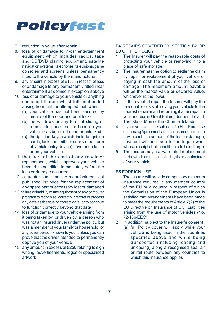#### 7. reduction in value after repair

- 8. loss of or damage to in-car entertainment equipment which includes radios, tape and CD/DVD playing equipment, satellite navigation systems, telephones, televisions, game consoles and screens unless permanently fitted to the vehicle by the manufacturer
- 9. any amount in excess of £150 in respect of loss of or damage to any permanently fitted incar entertainment as defined in exception 8 above
- 10. loss of or damage to your vehicle or anything contained therein whilst left unattended arising from theft or attempted theft when:
	- (a) your vehicle has not been secured by means of the door and boot locks
	- (b) the windows or any form of sliding or removable panel roof or hood on your vehicle has been left open or unlocked
	- (c) the ignition keys (which include ignition cards, lock transmitters or any other form of vehicle entry device) have been left in or on your vehicle
- 11. that part of the cost of any repair or replacement, which improves your vehicle beyond its condition immediately before the loss or damage occurred
- 12. a greater sum than the manufacturers last published list price for the replacement of any spare part or accessory lost or damaged
- 13. failure or inability of any equipment or any computer program to recognise, correctly interpret or process any date as the true or correct date, or to continue to function correctly beyond that date
- 14. loss of or damage to your vehicle arising from it being taken by, or driven by, a person who was not an insured driver under the policy, but was a member of your family or household, or any other person known to you, unless you can prove that the driver intended to permanently deprive you of your vehicle
- 15. any amount in excess of £250 relating to sign writing, advertisements, logos or specialised artwork

#### B4 REPAIRS COVERED BY SECTION B2 OR B3 OF THE POLICY

- 1. The Insurer will pay the reasonable costs of protecting your vehicle or removing it to a place of safe storage.
- 2. The Insurer has the option to settle the claim by repair or replacement of your vehicle or paying in cash the amount of the loss or damage. The maximum amount payable will be the market value or declared value whichever is the lower.
- 3. In the event of repair the Insurer will pay the reasonable costs of moving your vehicle to the nearest repairer and returning it after repair to your address in Great Britain, Northern Ireland, The Isle of Man or the Channel Islands.
- 4. If your vehicle is the subject of a Hire Purchase or Leasing Agreement and the Insurer decides to pay in cash the amount of the loss or damage, payment will be made to the legal owner whose receipt shall constitute a full discharge.
- 5. The Insurer may use warranted replacement parts, which are not supplied by the manufacturer of your vehicle

#### B5 FOREIGN USE

- 1. The Insurer will provide compulsory minimum insurance required in any member country of the EU or a country in respect of which the Commission of the European Union is satisfied that arrangements have been made to meet the requirements of Article 7(2) of the EU Directive on Insurance of Civil Liabilities arising from the use of motor vehicles (No. 72/166/EEC).
- 2. In addition, subject to the Insurer's consent
	- (a) full Policy cover will apply while your vehicle is being used in the countries specified above and while being transported (including loading and unloading) along a recognised sea, air or rail route between any countries to which this insurance applies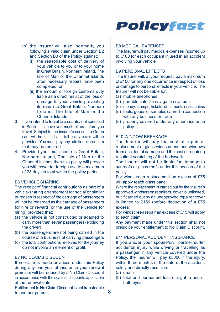- (b) the Insurer will also indemnify you following a valid claim under Section B2 and Section B3 of the Policy against:
	- (i) the reasonable cost of delivery of your vehicle to you or to your home in Great Britain, Northern Ireland, The Isle of Man or the Channel Islands after necessary repairs have been completed, or
	- (ii) the amount of foreign customs duty liable as a direct result of the loss or damage to your vehicle preventing its return to Great Britain, Northern Ireland, The Isle of Man or the Channel Islands
- 3. If you intend to travel to a country not specified in Section 1 above you must tell us before you travel. Subject to the insurer's consent a Green card will be issued and full policy cover will be provided. You must pay any additional premium that may be required.
- 4. Provided your main home is Great Britain, Northern Ireland, The Isle of Man or the Channel Islands then this policy will provide you with cover for foreign use to a maximum of 28 days in total within the policy period.

#### B6 VEHICLE SHARING

The receipt of financial contributions as part of a vehicle-sharing arrangement for social or similar purposes in respect of the carriage of passengers will not be regarded as the carriage of passengers for hire or reward (or the use of the vehicle for hiring) provided that:

- (a) the vehicle is not constructed or adapted to carry more than seven passengers (excluding the driver)
- (b) the passengers are not being carried in the course of a business of carrying passengers
- (c) the total contributions received for the journey do not involve an element of profit.

#### B7 NO CLAIMS DISCOUNT

If no claim is made or arises under this Policy during any one year of insurance your renewal premium will be reduced by a No Claim Discount in accordance with the scale of discounts applicable at the renewal date.

 **8** to another person. Entitlement to No Claim Discount is not transfeable



#### B8 MEDICAL EXPENSES

The Insurer will pay medical expenses incurred up to £100 for each occupant injured in an accident involving your vehicle

#### B9 PERSONAL EFFECTS

The Insurer will, at your request, pay a maximum of £100 for any one occurrence in respect of loss or damage to personal effects in your vehicle. The Insurer will not be liable for:

- (a) mobile telephones
- (b) portable satellite navigation systems
- (c) money, stamps, tickets, documents or securities
- (d) tools, goods or samples carried in connection with any business or trade
- (e) property covered under any other insurance policy

#### B10 WINDOW BREAKAGE

The Insurer will pay the cost of repair or replacement of glass windscreens and windows from accidental damage and the cost of repairing resultant scratching of the bodywork.

The insurer will not be liable for damage to sunroofs or glass roofs under this section of the policy.

For windscreen replacement an excess of £75 will apply teach glass panel.

Where the replacement is carried out by the Insurer's approved windscreen repairers, cover is unlimited, but if carried out by an unapproved repairer cover is limited to £150 (before deduction of a £75 excess).

For windscreen repair an excess of £15 will apply to each claim.

Any payment made under this section shall not prejudice your entitlement to No Claim Discount.

#### B11 PERSONAL ACCIDENT INSURANCE

If you and/or your spouse/civil partner suffer accidental injury while driving or travelling as a passenger in any vehicle covered under the Policy, the Insurer will pay £5000 if the injury, within three months of the date of the accident. solely and directly results in:

- (a) death
- (b) total and permanent loss of sight in one or both eyes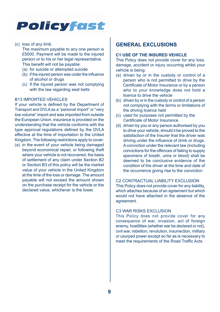(c) loss of any limb.

The maximum payable to any one person is £5000. Payment will be made to the injured person or to his or her legal representative. This benefit will not be payable:

- (a) for suicide or attempted suicide
- (b) if the injured person was under the influence of alcohol or drugs
- (c) if the injured person was not complying with the law regarding seat belts

#### B13 IMPORTED VEHICLES

If your vehicle is defined by the Department of Transport and DVLA as a "personal import" or "very low volume" import and was imported from outside the European Union, insurance is provided on the understanding that the vehicle conforms with the type approval regulations defined by the DVLA effective at the time of importation to the United Kingdom. The following restrictions apply to cover:

(a) in the event of your vehicle being damaged beyond economical repair, or following theft where your vehicle is not recovered, the basis of settlement of any claim under Section B2 or Section B3 of this policy will be the market value of your vehicle in the United Kingdom at the time of the loss or damage. The amount payable will not exceed the amount shown on the purchase receipt for the vehicle or the declared value, whichever is the lower.

#### **GENERAL EXCLUSIONS**

#### **C1 USE OF THE INSURED VEHICLE**

This Policy does not provide cover for any loss, damage, accident or injury occurring whilst your vehicle is being:

- (a) driven by or in the custody or control of a person who is not permitted to drive by the Certificate of Motor Insurance or by a person who to your knowledge does not hold a licence to drive the vehicle
- (b) driven by or in the custody or control of a person not complying with the terms or limitations of the driving licence held
- (c) used for purposes not permitted by the Certificate of Motor Insurance
- (d) driven by you or any person authorised by you to drive your vehicle, should it be proved to the satisfaction of the Insurer that the driver was driving under the influence of drink or drugs. A conviction under the relevant law (including convictions for the offences of failing to supply specimens of breath, urine or blood) shall be deemed to be conclusive evidence of the condition of the driver at the time and date of the occurrence giving rise to the conviction

#### C2 CONTRACTUAL LIABILITY EXCLUSION

This Policy does not provide cover for any liability, which attaches because of an agreement but which would not have attached in the absence of the agreement.

#### C3 WAR RISKS EXCLUSION

This Policy does not provide cover for any consequence of war, invasion, act of foreign enemy, hostilities (whether war be declared or not), civil war, rebellion, revolution, insurrection, military or usurped power except so far as is necessary to meet the requirements of the Road Traffic Acts.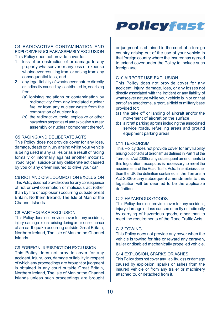#### C4 RADIOACTIVE CONTAMINATION AND EXPLOSIVE NUCLEAR ASSEMBLY EXCLUSION This Policy does not provide cover for:

- 1. loss of or destruction of or damage to any property whatsoever or any loss or expense whatsoever resulting from or arising from any consequential loss, and
- 2. any legal liability of whatsoever nature directly or indirectly caused by, contributed to, or arising from:
	- (a) ionising radiations or contamination by radioactivity from any irradiated nuclear fuel or from any nuclear waste from the combustion of nuclear fuel
	- (b) the radioactive, toxic, explosive or other hazardous properties of any explosive nuclear assembly or nuclear component thereof.

#### C5 RACING AND DELIBERATE ACTS

This Policy does not provide cover for any loss, damage, death or injury arising whilst your vehicle is being used in any rallies or as a result of racing formally or informally against another motorist, "road rage", suicide or any deliberate act caused by you or any driver insured to drive your car.

#### C6 RIOT AND CIVIL COMMOTION EXCLUSION

This Policy does not provide cover for any consequence of riot or civil commotion or malicious act (other than by fire or explosion) occurring outside Great Britain, Northern Ireland, The Isle of Man or the Channel Islands.

#### C8 EARTHQUAKE EXCLUSION

This Policy does not provide cover for any accident, injury, damage or loss arising during or in consequence of an earthquake occurring outside Great Britain. Northern Ireland, The Isle of Man or the Channel Islands.

#### C9 FOREIGN JURISDICTION EXCLUSION

This Policy does not provide cover for any accident, injury, loss, damage or liability in respect of which any proceedings are brought or judgment is obtained in any court outside Great Britain, Northern Ireland, The Isle of Man or the Channel Islands unless such proceedings are brought

or judgment is obtained in the court of a foreign country arising out of the use of your vehicle in that foreign country where the Insurer has agreed to extend cover under the Policy to include such foreign use.

#### C10 AIRPORT USE EXCLUSION

This Policy does not provide cover for any accident, injury, damage, loss, or any losses not directly associated with the incident or any liability of whatsoever nature while your vehicle is in or on that part of an aerodrome, airport, airfield or military base provided for:

- (a) the take off or landing of aircraft and/or the movement of aircraft on the surface
- (b) aircraft parking aprons including the associated service roads, refuelling areas and ground equipment parking areas.

#### C11 TERRORISM

This Policy does not provide cover for any liability arising out of acts of terrorism as defined in Part 1 of the Terrorism Act 2006or any subsequent amendments to this legislation, except as is necessary to meet the requirements of the Road Traffic Acts. In territories other than the UK the definition contained in the Terrorism Act 2006or any subsequent amendments to this legislation will be deemed to be the applicable definition.

#### C12 HAZARDOUS GOODS

This Policy does not provide cover for any accident, injury, damage or loss caused directly or indirectly by carrying of hazardous goods, other than to meet the requirements of the Road Traffic Acts.

#### C13 TOWING

This Policy does not provide any cover when the vehicle is towing for hire or reward any caravan, trailer or disabled mechanically propelled vehicle.

#### C14 EXPLOSION, SPARKS OR ASHES

This Policy does not cover any liability, loss or damage caused by explosion, sparks or ashes from the insured vehicle or from any trailer or machinery attached to, or detached from it.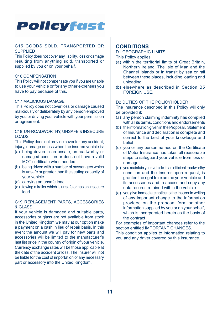

#### C15 GOODS SOLD, TRANSPORTED OR SUPPLIED

This Policy does not cover any liability, loss or damage resulting from anything sold, transported or supplied by you or on your behalf.

#### C16 COMPENSATION

This Policy will not compensate you if you are unable to use your vehicle or for any other expenses you have to pay because of this.

#### C17 MALICIOUS DAMAGE

This Policy does not cover loss or damage caused maliciously or deliberately by any person employed by you or driving your vehicle with your permission or agreement.

#### C18 UN-ROADWORTHY, UNSAFE & INSECURE LOADS

This Policy does not provide cover for any accident, injury, damage or loss when the insured vehicle is:

- (a) being driven in an unsafe, un-roadworthy or damaged condition or does not have a valid MOT certificate when needed
- (b) being driven with a number of passengers which is unsafe or greater than the seating capacity of your vehicle
- (c) carrying an unsafe load
- (d) towing a trailer which is unsafe or has an insecure load

#### C19 REPLACEMENT PARTS, ACCESSORIES & GLASS

If your vehicle is damaged and suitable parts accessories or glass are not available from stock in the United Kingdom we may at our option make a payment on a cash in lieu of repair basis. In this event the amount we will pay for new parts and accessories will be limited to the manufacturer's last list price in the country of origin of your vehicle. Currency exchange rates will be those applicable at the date of the accident or loss. The Insurer will not be liable for the cost of importation of any necessary part or accessory into the United Kingdom.

#### **CONDITIONS**

D1 GEOGRAPHIC LIMITS

This Policy applies:

- (a) within the territorial limits of Great Britain, Northern Ireland, The Isle of Man and the Channel Islands or in transit by sea or rail between these places, including loading and unloading
- (b) elsewhere as described in Section B5 FOREIGN USE.

#### D2 DUTIES OF THE POLICYHOLDER

The insurance described in this Policy will only be provided if:

- (a) any person claiming indemnity has complied with all its terms, conditions and endorsements
- (b) the information given in the Proposal / Statement of Insurance and declaration is complete and correct to the best of your knowledge and belief
- (c) you or any person named on the Certificate of Motor Insurance has taken all reasonable steps to safeguard your vehicle from loss or damage
- (d) you maintain your vehicle in an efficient roadworthy condition and the Insurer upon request, is granted the right to examine your vehicle and its accessories and to access and copy any data records retained within the vehicle
- (e) you give immediate notice to the Insurer in writing of any important change to the information provided on the proposal form or other information supplied by you or on your behalf, which is incorporated herein as the basis of the contract

For examples of important changes refer to the section entitled IMPORTANT CHANGES.

This condition applies to information relating to you and any driver covered by this insurance.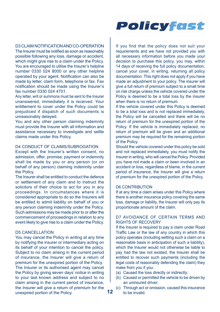#### D3 CLAIM NOTIFICATION AND CO-OPERATION

The Insurer must be notified as soon as reasonably possible following any loss, damage or accident, which might give rise to a claim under the Policy. You are encouraged to utilise the Insurer's helpline number 0330 024 8000 or any other helpline operated by your agent. Notification can also be made by letter, claim form, telephone or fax. Fax notification should be made using the Insurer's fax number 0330 024 4701.

Any letter, writ or summons must be sent to the Insurer unanswered, immediately it is received. Your entitlement to cover under the Policy could be prejudiced if dispatch of such documents is unreasonably delayed.

You and any other person claiming indemnity must provide the Insurer with all information and assistance necessary to investigate and settle claims made under this Policy.

#### D4 CONDUCT OF CLAIMS/SUBROGATION

Except with the Insurer's written consent, no admission, offer, promise, payment or indemnity shall be made by you or any person (or on behalf of any person) claiming indemnity under the Policy.

The Insurer shall be entitled to conduct the defence or settlement of any claim and to instruct the solicitors of their choice to act for you in any proceedings. In circumstances where it is considered appropriate to do so the Insurers will be entitled to admit liability on behalf of you or any person claiming indemnity under the Policy. Such admissions may be made prior to or after the commencement of proceedings in relation to any event likely to give rise to a claim under the Policy.

#### D5 CANCELLATION

 **12** unexpired portion of the Policy. You may cancel the Policy in writing at any time by notifying the insurer or intermediary acting on its behalf of your intention to cancel the policy. Subject to no claim arising in the current period of insurance, the Insurer will give a return of premium for the unexpired portion of the Policy. The Insurer or its authorised agent may cancel the Policy by giving seven days' notice in writing to your last known address and subject to no claim arising in the current period of insurance, the Insurer will give a return of premium for the

If you find that the policy does not suit your requirements and we have not provided you with all necessary information before you made your decision to purchase this policy, you may, within 14 days of receiving the full policy documentation, cancel your cover, in writing, returning all policy documentation. This right does not apply if you have made an adjustment to your policy. The insurer will give a full return of premium subject to a small time on risk charge unless the vehicle covered under the Policy is deemed to be a total loss by the insurer when there is no return of premium.

If the vehicle covered under this Policy is deemed to be a total loss and is not replaced immediately, the Policy will be cancelled and there will be no return of premium for the unexpired portion of the Policy. If the vehicle is immediately replaced, no return of premium will be given and an additional premium may be required for the remaining portion of the Policy.

Should the vehicle covered under this policy be sold and not replaced immediately, you must notify the Insurer in writing, who will cancel the Policy. Provided you have not made a claim or been involved in an accident or loss, regardless of blame, in the current period of insurance, the Insurer will give a return of premium for the unexpired portion of the Policy.

#### D6 CONTRIBUTION

If at any time a claim arises under this Policy where there is another insurance policy covering the same loss, damage or liability, the Insurer will only pay its proportionate amount of the claim.

#### D7 AVOIDANCE OF CERTAIN TERMS AND RIGHTS OF RECOVERY

If the Insurer is required to pay a claim under Road Traffic Law or the law of any country in which this policy operates (including settling such a claim on a reasonable basis in anticipation of such a liability), which the Insurer would not otherwise be liable to pay had the law not existed, the Insurer shall be entitled to recover such payments (including the legal costs of reasonably defending the claim) they make from you if you:

- (a) Caused the loss directly or indirectly;
- (b) Caused or permitted the vehicle to be driven by an uninsured driver;
- (c) Through act or omission, caused this insurance to be invalid.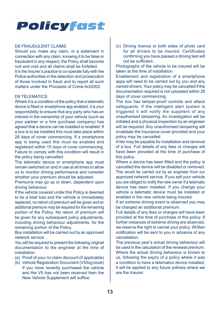#### D8 FRAUDULENT CLAIMS

Should you make any claim, or a statement in connection with any claim, knowing it to be false or fraudulent in any respect, the Policy shall become null and void and all claims shall be forfeited. It is the Insurer's practice to co-operate fully with the Police authorities in the detection and prosecution of those involved in fraud and to report all such matters under the Proceeds of Crime Act2002.

#### D9 TELEMATICS

Where it is a condition of the policy that a telematic device is fitted or smartphone app enabled, it is your responsibility to ensure that any party who has an interest in the ownership of your vehicle (such as your partner or a hire purchase company) has agreed that a device can be installed or enabled. If a box is to be installed this must take place within 28 days of cover commencing. If a smartphone app is being used this must be enabled and registered within 15 days of cover commencing. Failure to comply with this condition will result in the policy being cancelled.

The telematic device or smartphone app must remain switched on and in use at all times to allow us to monitor driving performance and consider whether your premium should be adjusted.

Premiums may go up or down, dependent upon driving behaviour.

If the vehicle covered under this Policy is deemed to be a total loss and the vehicle is immediately replaced, no return of premium will be given and an additional premium may be required for the remaining portion of the Policy. No return of premium will be given for any subsequent policy adjustments, including driving behaviour adjustments, for the remaining portion of the Policy.

Box installation will be carried out by an approved network service.

You will be required to present the following original documentation to the engineer at the time of **installation** 

- (a) Proof of your no claim discount (if applicable)
- (b) Vehicle Registration Document (V5/log book) If you have recently purchased the vehicle and the V5 has not been received then the New Vehicle Supplement will suffice.

(c) Driving licence or both sides of photo card for all drivers to be insured. Certificates confirming you have passed a driving test will not be sufficient.

Photographs of the vehicle to be insured will be taken at the time of installation.

Enablement and registration of a smartphone apps will need to be carried out by you and any named drivers. Your policy may be cancelled if the documentation required is not uploaded within 28 days of cover commencing.

The box has tamper-proof controls and attack safeguards. If the intelligent alert system is triggered it will notify the suppliers of any unauthorised tampering. An investigation will be initiated and a physical inspection by an engineer will be required. Any unauthorised tampering will invalidate the insurance cover provided and your policy may be cancelled.

A fee may be payable for installation and removal of a box. Full details of any fees or charges will have been provided at the time of purchase of this policy.

Where a device has been fitted and the policy is cancelled the device will be disabled or removed. This would be carried out by an engineer from our approved network service. If you sell your vehicle you are obliged to notify the new owner if a telematic device has been installed. If you change your vehicle a telematic device must be installed or enabled in the new vehicle being insured.

If an extreme driving event is observed you may be charged an additional premium.

Full details of any fees or charges will have been provided at the time of purchase of this policy. If further instances of extreme driving are observed, we reserve the right to cancel your policy. Written notification will be sent to you in advance of any cancellation.

The previous year's actual driving behaviour will be used in the calculation of the renewal premium. Where the actual driving behaviour is known to us, following the expiry of a policy where it was a condition to have a telematics device installed, it will be applied to any future policies where we are the Insurer.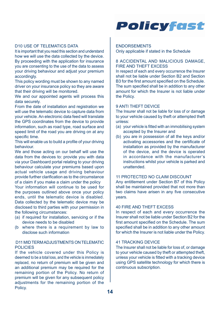#### D10 USE OF TELEMATICS DATA

It is important that you read this section and understand how we will use the data collected by the device. By proceeding with the application for insurance you are consenting to the use of the data to assess your driving behaviour and adjust your premium accordingly.

This policy wording must be shown to any named driver on your insurance policy so they are aware that their driving will be monitored.

We and our appointed agents will process this data securely.

From the date of installation and registration we will use the telematic device to capture data from your vehicle. An electronic data feed will translate the GPS coordinates from the device to provide information, such as road type, road surface and speed limit of the road you are driving on at any specific time.

This will enable us to build a profile of your driving behaviour.

We and those acting on our behalf will use the data from the devices to: provide you with data via your Dashboard portal relating to your driving behaviour calculate your premiums based upon actual vehicle usage and driving behaviour provide further clarification as to the circumstance of a claim if you make a claim under the policy

Your information will continue to be used for the purposes outlined above once your policy ends, until the telematic device is disabled. Data collected by the telematic device may be disclosed to third parties with your permission in the following circumstances:

- (a) if required for installation, servicing or if the device needs to be disabled
- (b where there is a requirement by law to disclose such information

#### D11 MID TERM ADJUSTMENTS ON TELEMATIC POLICIES

 **14** If the vehicle covered under this Policy is deemed to be a total loss, and the vehicle is immediately replaced, no return of premium will be given and an additional premium may be required for the remaining portion of the Policy. No return of premium will be given for any subsequent policy adjustments for the remaining portion of the Policy.



#### **ENDORSEMENTS**

Only applicable if stated in the Schedule

#### 8 ACCIDENTAL AND MALICIOUS DAMAGE. FIRE AND THEFT EXCESS

In respect of each and every occurrence the Insurer shall not be liable under Section B2 and Section B3 for the first amount specified on the Schedule. The sum specified shall be in addition to any other amount for which the Insurer is not liable under the Policy.

#### 9 ANTI THEFT DEVICE

The Insurer shall not be liable for loss of or damage to your vehicle caused by theft or attempted theft unless:

- (a) your vehicle is fitted with an immobilising system accepted by the Insurer and
- (b) you are in possession of all the keys and/or activating accessories and the certificate of installation as provided by the manufacturer of the device, and the device is operated in accordance with the manufacturer's instructions whilst your vehicle is parked and unattended.

#### 11 PROTECTED NO CLAIM DISCOUNT

Any entitlement under Section B7 of this Policy shall be maintained provided that not more than two claims have arisen in any five consecutive years.

#### 40 FIRE AND THEFT EXCESS

In respect of each and every occurrence the Insurer shall not be liable under Section B2 for the first amount specified on the Schedule. The sum specified shall be in addition to any other amount for which the Insurer is not liable under the Policy.

#### 41 TRACKING DEVICE

The Insurer shall not be liable for loss of, or damage to your vehicle caused by theft or attempted theft, unless your vehicle is fitted with a tracking device using GPS satellite technology for which there is continuous subscription.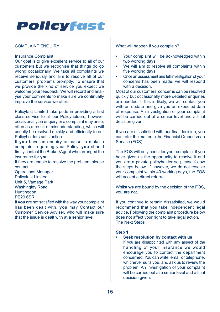#### COMPLAINT ENQUIRY

#### Insurance Complaint

Our goal is to give excellent service to all of our customers but we recognise that things do go wrong occasionally. We take all complaints we receive seriously and aim to resolve all of our customers' problems promptly. To ensure that we provide the kind of service you expect we welcome your feedback. We will record and analyse your comments to make sure we continually improve the service we offer.

Policyfast Limited take pride in providing a first class service to all our Policyholders, however occasionally an enquiry or a complaint may arise, often as a result of misunderstanding, which will usually be resolved quickly and efficiently to our Policyholders satisfaction.

If **you** have an enquiry or cause to make a complaint regarding your Policy, **you** should firstly contact the Broker/Agent who arranged the insurance for **you**.

If they are unable to resolve the problem, please contact:

Operations Manager Policyfast Limited Unit 5, Vantage Park Washingley Road **Huntingdon** PE29 6SR

If **you** are not satisfied with the way your complaint has been dealt with, **you** may Contact our Customer Service Adviser, who will make sure that the issue is dealt with at a senior level.

#### What will happen if you complain?

- Your complaint will be acknowledged within two working days
- We will aim to resolve all complaints within five working days
- Once an assessment and full investigation of your concerns has been made, we will respond with a decision.

Most of our customers' concerns can be resolved quickly but occasionally more detailed enquiries are needed. If this is likely, we will contact you with an update and give you an expected date of response. An investigation of your complaint will be carried out at a senior level and a final decision given.

If you are dissatisfied with our final decision, you can refer the matter to the Financial Ombudsman Service (FOS).

The FOS will only consider your complaint if you have given us the opportunity to resolve it and you are a private policyholder so please follow the steps below. If however, we do not resolve your complaint within 40 working days, the FOS will accept a direct referral.

Whilst **we** are bound by the decision of the FOS, you are not.

If you continue to remain dissatisfied, we would recommend that you take independent legal advice. Following the complaint procedure below does not affect your right to take legal action. The Next Steps

#### **Step 1**

#### **• Seek resolution by contact with us**

If you are disappointed with any aspect of the handling of your insurance we would encourage you to contact the department concerned. You can write, email or telephone, whichever suits you, and ask us to review the problem. An investigation of your complaint will be carried out at a senior level and a final decision given.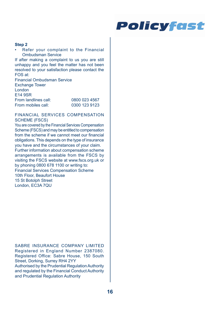#### **Step 2**

• Refer your complaint to the Financial Ombudsman Service

If after making a complaint to us you are still unhappy and you feel the matter has not been resolved to your satisfaction please contact the FOS at:

Financial Ombudsman Service Exchange Tower London E14 9SR From landlines call: 0800 023 4567<br>
From mobiles call: 0300 123 9123 From mobiles call:

#### FINANCIAL SERVICES COMPENSATION SCHEME (FSCS)

You are covered by the Financial Services Compensation Scheme (FSCS) and may be entitled to compensation from the scheme if we cannot meet our financial obligations. This depends on the type of insurance you have and the circumstances of your claim. Further information about compensation scheme arrangements is available from the FSCS by visiting the FSCS website at www.fscs.org.uk or by phoning 0800 678 1100 or writing to: Financial Services Compensation Scheme 10th Floor, Beaufort House 15 St Botolph Street London, EC3A 7QU

SABRE INSURANCE COMPANY LIMITED Registered in England Number 2387080. Registered Office: Sabre House, 150 South Street, Dorking, Surrey RH4 2YY Authorised by the Prudential Regulation Authority and regulated by the Financial Conduct Authority and Prudential Regulation Authority